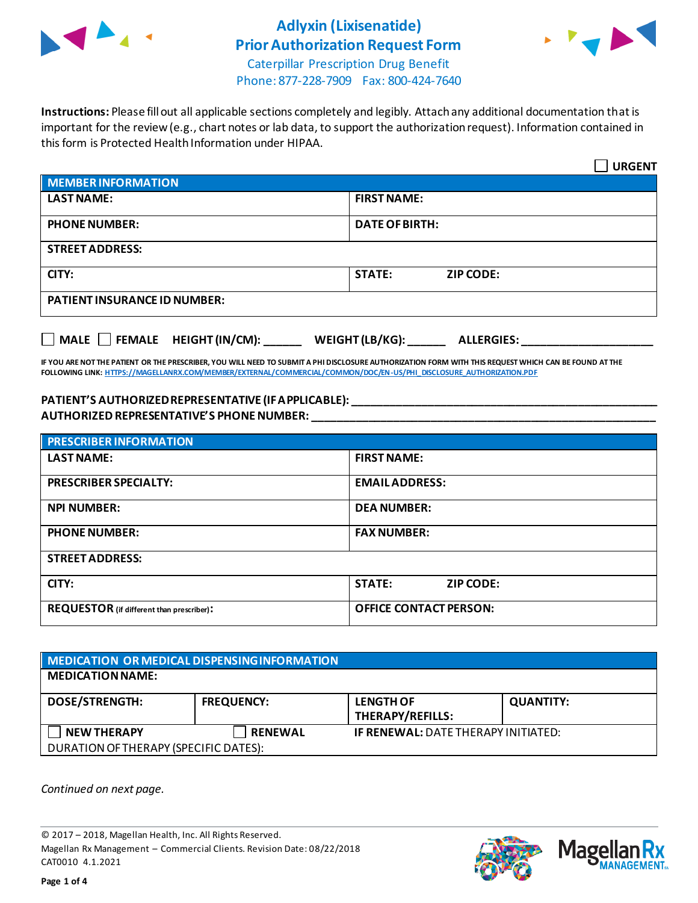

# **Adlyxin (Lixisenatide) Prior Authorization Request Form**



Caterpillar Prescription Drug Benefit Phone: 877-228-7909 Fax: 800-424-7640

**Instructions:** Please fill out all applicable sections completely and legibly. Attach any additional documentation that is important for the review (e.g., chart notes or lab data, to support the authorization request). Information contained in this form is Protected Health Information under HIPAA.

|                                           | <b>URGENT</b>                        |  |
|-------------------------------------------|--------------------------------------|--|
| <b>MEMBER INFORMATION</b>                 |                                      |  |
| <b>LAST NAME:</b>                         | <b>FIRST NAME:</b>                   |  |
| <b>PHONE NUMBER:</b>                      | <b>DATE OF BIRTH:</b>                |  |
| <b>STREET ADDRESS:</b>                    |                                      |  |
| CITY:                                     | <b>STATE:</b><br><b>ZIP CODE:</b>    |  |
| <b>PATIENT INSURANCE ID NUMBER:</b>       |                                      |  |
| $\Box$ MALE $\Box$ FEMALE HEIGHT (IN/CM): | WEIGHT (LB/KG):<br><b>ALLERGIES:</b> |  |

**IF YOU ARE NOT THE PATIENT OR THE PRESCRIBER, YOU WILL NEED TO SUBMIT A PHI DISCLOSURE AUTHORIZATION FORM WITH THIS REQUEST WHICH CAN BE FOUND AT THE FOLLOWING LINK[: HTTPS://MAGELLANRX.COM/MEMBER/EXTERNAL/COMMERCIAL/COMMON/DOC/EN-US/PHI\\_DISCLOSURE\\_AUTHORIZATION.PDF](https://magellanrx.com/member/external/commercial/common/doc/en-us/PHI_Disclosure_Authorization.pdf)**

#### **PATIENT'S AUTHORIZED REPRESENTATIVE (IF APPLICABLE): \_\_\_\_\_\_\_\_\_\_\_\_\_\_\_\_\_\_\_\_\_\_\_\_\_\_\_\_\_\_\_\_\_\_\_\_\_\_\_\_\_\_\_\_\_\_\_\_\_ AUTHORIZED REPRESENTATIVE'S PHONE NUMBER: \_\_\_\_\_\_\_\_\_\_\_\_\_\_\_\_\_\_\_\_\_\_\_\_\_\_\_\_\_\_\_\_\_\_\_\_\_\_\_\_\_\_\_\_\_\_\_\_\_\_\_\_\_\_\_**

| <b>PRESCRIBER INFORMATION</b>             |                               |  |
|-------------------------------------------|-------------------------------|--|
| <b>LAST NAME:</b>                         | <b>FIRST NAME:</b>            |  |
| <b>PRESCRIBER SPECIALTY:</b>              | <b>EMAIL ADDRESS:</b>         |  |
| <b>NPI NUMBER:</b>                        | <b>DEA NUMBER:</b>            |  |
| <b>PHONE NUMBER:</b>                      | <b>FAX NUMBER:</b>            |  |
| <b>STREET ADDRESS:</b>                    |                               |  |
| CITY:                                     | <b>STATE:</b><br>ZIP CODE:    |  |
| REQUESTOR (if different than prescriber): | <b>OFFICE CONTACT PERSON:</b> |  |

| MEDICATION OR MEDICAL DISPENSING INFORMATION |                   |                                            |                  |  |
|----------------------------------------------|-------------------|--------------------------------------------|------------------|--|
| <b>MEDICATION NAME:</b>                      |                   |                                            |                  |  |
| <b>DOSE/STRENGTH:</b>                        | <b>FREQUENCY:</b> | <b>LENGTH OF</b><br>THERAPY/REFILLS:       | <b>QUANTITY:</b> |  |
| <b>NEW THERAPY</b>                           | <b>RENEWAL</b>    | <b>IF RENEWAL: DATE THERAPY INITIATED:</b> |                  |  |
| DURATION OF THERAPY (SPECIFIC DATES):        |                   |                                            |                  |  |

*Continued on next page.*

© 2017 – 2018, Magellan Health, Inc. All Rights Reserved. Magellan Rx Management – Commercial Clients. Revision Date: 08/22/2018 CAT0010 4.1.2021



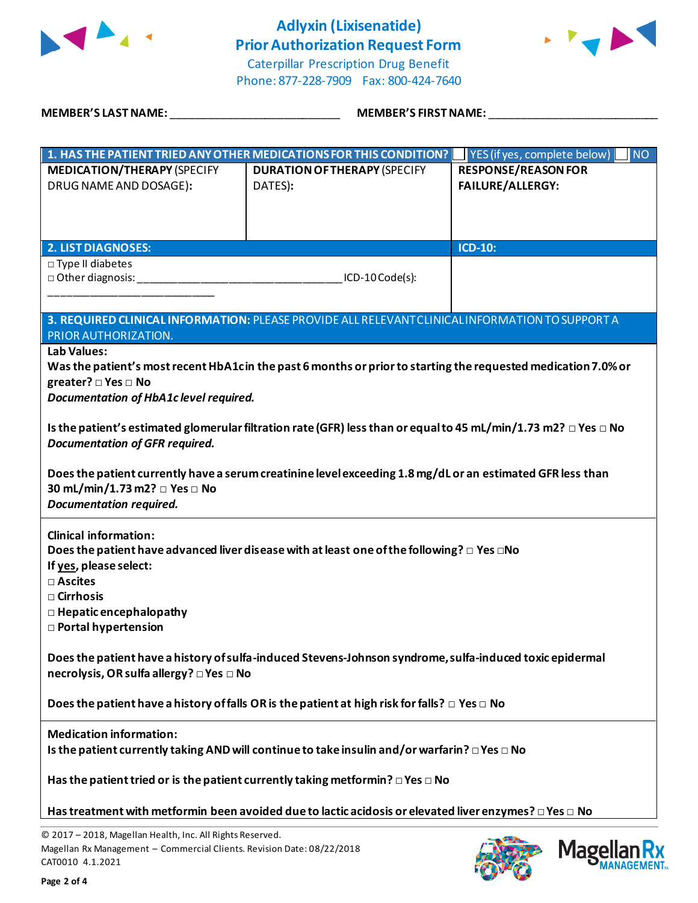

# **Adlyxin (Lixisenatide) Prior Authorization Request Form**



Caterpillar Prescription Drug Benefit Phone: 877-228-7909 Fax: 800-424-7640

**MEMBER'S LAST NAME:** \_\_\_\_\_\_\_\_\_\_\_\_\_\_\_\_\_\_\_\_\_\_\_\_\_\_\_ **MEMBER'S FIRST NAME:** \_\_\_\_\_\_\_\_\_\_\_\_\_\_\_\_\_\_\_\_\_\_\_\_\_\_\_

|                                                                                                          | 1. HAS THE PATIENT TRIED ANY OTHER MEDICATIONS FOR THIS CONDITION?                                                        | YES (if yes, complete below)<br>$\overline{\mathsf{N}}$ |  |  |
|----------------------------------------------------------------------------------------------------------|---------------------------------------------------------------------------------------------------------------------------|---------------------------------------------------------|--|--|
| <b>MEDICATION/THERAPY (SPECIFY</b>                                                                       | <b>DURATION OF THERAPY (SPECIFY</b>                                                                                       | <b>RESPONSE/REASON FOR</b>                              |  |  |
| DRUG NAME AND DOSAGE):                                                                                   | DATES):                                                                                                                   | FAILURE/ALLERGY:                                        |  |  |
|                                                                                                          |                                                                                                                           |                                                         |  |  |
|                                                                                                          |                                                                                                                           |                                                         |  |  |
|                                                                                                          |                                                                                                                           |                                                         |  |  |
| <b>2. LIST DIAGNOSES:</b>                                                                                |                                                                                                                           | <b>ICD-10:</b>                                          |  |  |
| □ Type II diabetes                                                                                       |                                                                                                                           |                                                         |  |  |
| D Other diagnosis: 1990                                                                                  | ICD-10 Code(s):                                                                                                           |                                                         |  |  |
|                                                                                                          |                                                                                                                           |                                                         |  |  |
|                                                                                                          | 3. REQUIRED CLINICAL INFORMATION: PLEASE PROVIDE ALL RELEVANT CLINICAL INFORMATION TO SUPPORT A                           |                                                         |  |  |
| PRIOR AUTHORIZATION.                                                                                     |                                                                                                                           |                                                         |  |  |
| Lab Values:                                                                                              |                                                                                                                           |                                                         |  |  |
|                                                                                                          | Was the patient's most recent HbA1cin the past 6 months or prior to starting the requested medication 7.0% or             |                                                         |  |  |
| greater? □ Yes □ No                                                                                      |                                                                                                                           |                                                         |  |  |
| Documentation of HbA1c level required.                                                                   |                                                                                                                           |                                                         |  |  |
|                                                                                                          |                                                                                                                           |                                                         |  |  |
|                                                                                                          | Is the patient's estimated glomerular filtration rate (GFR) less than or equal to 45 mL/min/1.73 m2? $\Box$ Yes $\Box$ No |                                                         |  |  |
| <b>Documentation of GFR required.</b>                                                                    |                                                                                                                           |                                                         |  |  |
|                                                                                                          |                                                                                                                           |                                                         |  |  |
|                                                                                                          | Does the patient currently have a serum creatinine level exceeding 1.8 mg/dL or an estimated GFR less than                |                                                         |  |  |
| 30 mL/min/1.73 m2? □ Yes □ No<br><b>Documentation required.</b>                                          |                                                                                                                           |                                                         |  |  |
|                                                                                                          |                                                                                                                           |                                                         |  |  |
| <b>Clinical information:</b>                                                                             |                                                                                                                           |                                                         |  |  |
|                                                                                                          | Does the patient have advanced liver disease with at least one of the following? $\Box$ Yes $\Box$ No                     |                                                         |  |  |
| If yes, please select:                                                                                   |                                                                                                                           |                                                         |  |  |
| □ Ascites                                                                                                |                                                                                                                           |                                                         |  |  |
| $\square$ Cirrhosis                                                                                      |                                                                                                                           |                                                         |  |  |
| $\Box$ Hepatic encephalopathy                                                                            |                                                                                                                           |                                                         |  |  |
| □ Portal hypertension                                                                                    |                                                                                                                           |                                                         |  |  |
|                                                                                                          |                                                                                                                           |                                                         |  |  |
| Does the patient have a history of sulfa-induced Stevens-Johnson syndrome, sulfa-induced toxic epidermal |                                                                                                                           |                                                         |  |  |
| necrolysis, OR sulfa allergy? □ Yes □ No                                                                 |                                                                                                                           |                                                         |  |  |
|                                                                                                          |                                                                                                                           |                                                         |  |  |
| Does the patient have a history of falls OR is the patient at high risk for falls? $\Box$ Yes $\Box$ No  |                                                                                                                           |                                                         |  |  |
| <b>Medication information:</b>                                                                           |                                                                                                                           |                                                         |  |  |
| Is the patient currently taking AND will continue to take insulin and/or warfarin? $\Box$ Yes $\Box$ No  |                                                                                                                           |                                                         |  |  |
|                                                                                                          |                                                                                                                           |                                                         |  |  |
| Has the patient tried or is the patient currently taking metformin? $\square$ Yes $\square$ No           |                                                                                                                           |                                                         |  |  |
|                                                                                                          |                                                                                                                           |                                                         |  |  |
|                                                                                                          | Has treatment with metformin been avoided due to lactic acidosis or elevated liver enzymes? $\Box$ Yes $\Box$ No          |                                                         |  |  |
|                                                                                                          |                                                                                                                           |                                                         |  |  |

© 2017 – 2018, Magellan Health, Inc. All Rights Reserved. Magellan Rx Management – Commercial Clients. Revision Date: 08/22/2018 CAT0010 4.1.2021

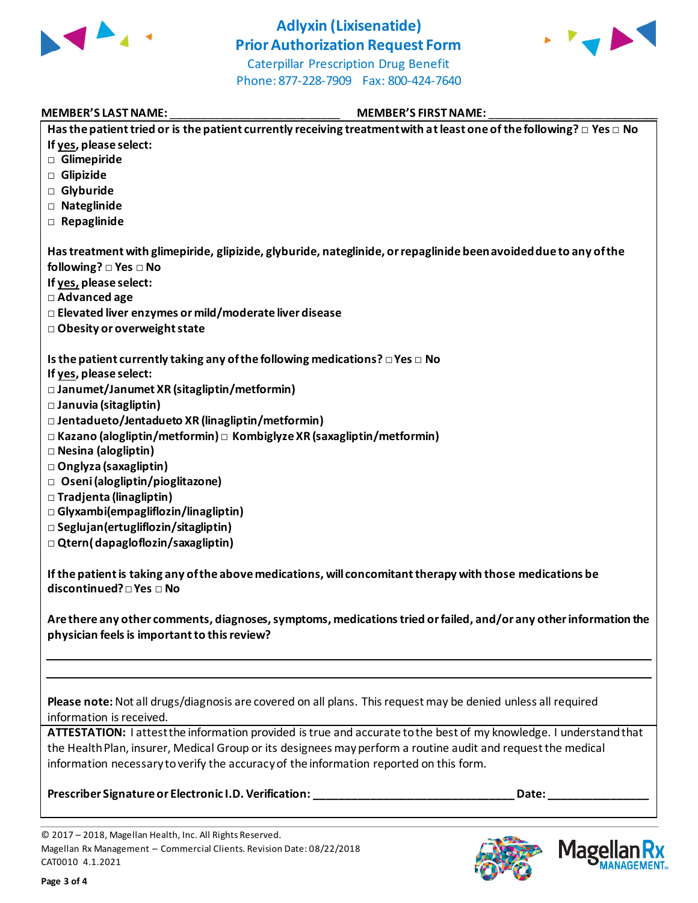

## **Adlyxin (Lixisenatide) Prior Authorization Request Form**



Caterpillar Prescription Drug Benefit Phone: 877-228-7909 Fax: 800-424-7640

#### MEMBER'S LAST NAME:  $\blacksquare$  MEMBER'S FIRST NAME:

| Has the patient tried or is the patient currently receiving treatment with at least one of the following? $\Box$ Yes $\Box$ No |
|--------------------------------------------------------------------------------------------------------------------------------|
| If yes, please select:                                                                                                         |
| Glimepiride                                                                                                                    |
| Glipizide                                                                                                                      |
| □ Glyburide                                                                                                                    |
| □ Nateglinide                                                                                                                  |
| $\Box$ Repaglinide                                                                                                             |
|                                                                                                                                |
| Has treatment with glimepiride, glipizide, glyburide, nateglinide, or repaglinide been avoided due to any of the               |
| following? $\square$ Yes $\square$ No                                                                                          |
| If yes, please select:                                                                                                         |
| □ Advanced age                                                                                                                 |
| □ Elevated liver enzymes or mild/moderate liver disease                                                                        |
| □ Obesity or overweight state                                                                                                  |
|                                                                                                                                |
| Is the patient currently taking any of the following medications? $\square$ Yes $\square$ No                                   |
| If yes, please select:                                                                                                         |
| □ Janumet/Janumet XR (sitagliptin/metformin)                                                                                   |
|                                                                                                                                |
| □ Januvia (sitagliptin)                                                                                                        |
| $\Box$ Jentadueto/Jentadueto XR (linagliptin/metformin)                                                                        |
| $\Box$ Kazano (alogliptin/metformin) $\Box$ Kombiglyze XR (saxagliptin/metformin)                                              |
| □ Nesina (alogliptin)                                                                                                          |
| □ Onglyza (saxagliptin)                                                                                                        |
| □ Oseni (alogliptin/pioglitazone)                                                                                              |
| □ Tradjenta (linagliptin)                                                                                                      |
| □ Glyxambi(empagliflozin/linagliptin)                                                                                          |
| $\square$ Seglujan (ertugliflozin/sitagliptin)                                                                                 |
| $\Box$ Qtern(dapagloflozin/saxagliptin)                                                                                        |
|                                                                                                                                |
| If the patient is taking any of the above medications, will concomitant therapy with those medications be                      |
| discontinued? □ Yes □ No                                                                                                       |
|                                                                                                                                |
| Are there any other comments, diagnoses, symptoms, medications tried or failed, and/or any other information the               |
| physician feels is important to this review?                                                                                   |
|                                                                                                                                |
|                                                                                                                                |
|                                                                                                                                |
| Please note: Not all drugs/diagnosis are covered on all plans. This request may be denied unless all required                  |
| information is received.                                                                                                       |
| ATTESTATION: I attest the information provided is true and accurate to the best of my knowledge. I understand that             |
| the Health Plan, insurer, Medical Group or its designees may perform a routine audit and request the medical                   |
|                                                                                                                                |
| information necessary to verify the accuracy of the information reported on this form.                                         |
|                                                                                                                                |

**Prescriber Signature or Electronic I.D. Verification: \_\_\_\_\_\_\_\_\_\_\_\_\_\_\_\_\_\_\_\_\_\_\_\_\_\_\_\_\_\_\_\_ Date: \_\_\_\_\_\_\_\_\_\_\_\_\_\_\_\_**

Mag



<sup>© 2017</sup> – 2018, Magellan Health, Inc. All Rights Reserved. Magellan Rx Management – Commercial Clients. Revision Date: 08/22/2018 CAT0010 4.1.2021